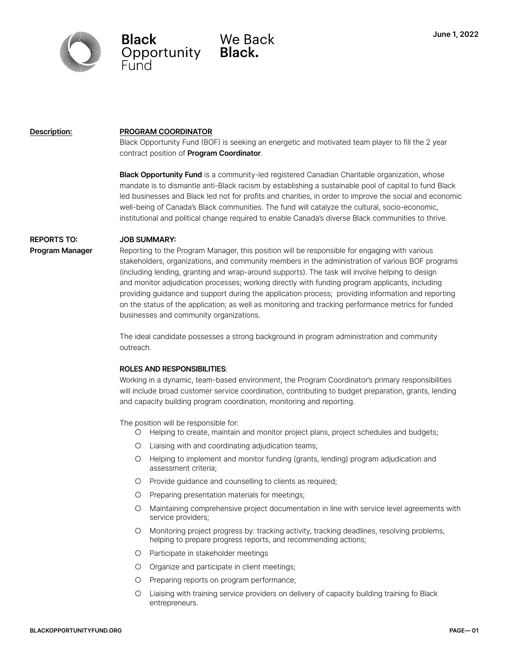

Black We Ba<br>Opportunity Black.

We Back

### **Description:**

#### **PROGRAM COORDINATOR**

Black Opportunity Fund (BOF) is seeking an energetic and motivated team player to fill the 2 year contract position of **Program Coordinator**.

**Black Opportunity Fund** is a community-led registered Canadian Charitable organization, whose mandate is to dismantle anti-Black racism by establishing a sustainable pool of capital to fund Black led businesses and Black led not for profits and charities, in order to improve the social and economic well-being of Canada's Black communities. The fund will catalyze the cultural, socio-economic, institutional and political change required to enable Canada's diverse Black communities to thrive.

## **REPORTS TO:**

#### **JOB SUMMARY:**

**Program Manager**

Reporting to the Program Manager, this position will be responsible for engaging with various stakeholders, organizations, and community members in the administration of various BOF programs (including lending, granting and wrap-around supports). The task will involve helping to design and monitor adjudication processes; working directly with funding program applicants, including providing guidance and support during the application process; providing information and reporting on the status of the application; as well as monitoring and tracking performance metrics for funded businesses and community organizations.

The ideal candidate possesses a strong background in program administration and community outreach.

### **ROLES AND RESPONSIBILITIES**:

Working in a dynamic, team-based environment, the Program Coordinator's primary responsibilities will include broad customer service coordination, contributing to budget preparation, grants, lending and capacity building program coordination, monitoring and reporting.

The position will be responsible for:

- Helping to create, maintain and monitor project plans, project schedules and budgets;
- Liaising with and coordinating adjudication teams;
- Helping to implement and monitor funding (grants, lending) program adjudication and assessment criteria;
- Provide guidance and counselling to clients as required;
- Preparing presentation materials for meetings;
- Maintaining comprehensive project documentation in line with service level agreements with service providers;
- Monitoring project progress by: tracking activity, tracking deadlines, resolving problems, helping to prepare progress reports, and recommending actions;
- Participate in stakeholder meetings
- Organize and participate in client meetings;
- Preparing reports on program performance;
- Liaising with training service providers on delivery of capacity building training fo Black entrepreneurs.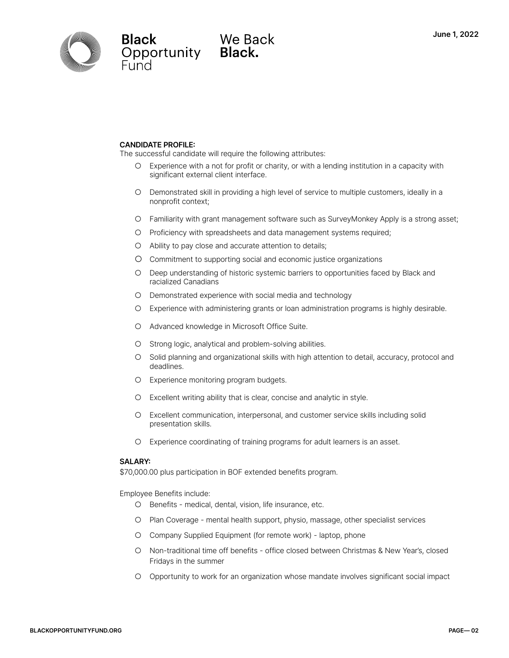

Black We Ba<br>Opportunity Black.

# We Back

### **CANDIDATE PROFILE:**

The successful candidate will require the following attributes:

- Experience with a not for profit or charity, or with a lending institution in a capacity with significant external client interface.
- Demonstrated skill in providing a high level of service to multiple customers, ideally in a nonprofit context;
- Familiarity with grant management software such as SurveyMonkey Apply is a strong asset;
- Proficiency with spreadsheets and data management systems required;
- Ability to pay close and accurate attention to details;
- O Commitment to supporting social and economic justice organizations
- Deep understanding of historic systemic barriers to opportunities faced by Black and racialized Canadians
- Demonstrated experience with social media and technology
- Experience with administering grants or loan administration programs is highly desirable.
- Advanced knowledge in Microsoft Office Suite.
- Strong logic, analytical and problem-solving abilities.
- Solid planning and organizational skills with high attention to detail, accuracy, protocol and deadlines.
- Experience monitoring program budgets.
- Excellent writing ability that is clear, concise and analytic in style.
- Excellent communication, interpersonal, and customer service skills including solid presentation skills.
- Experience coordinating of training programs for adult learners is an asset.

### **SALARY:**

\$70,000.00 plus participation in BOF extended benefits program.

Employee Benefits include:

- Benefits medical, dental, vision, life insurance, etc.
- Plan Coverage mental health support, physio, massage, other specialist services
- Company Supplied Equipment (for remote work) laptop, phone
- Non-traditional time off benefits office closed between Christmas & New Year's, closed Fridays in the summer
- Opportunity to work for an organization whose mandate involves significant social impact